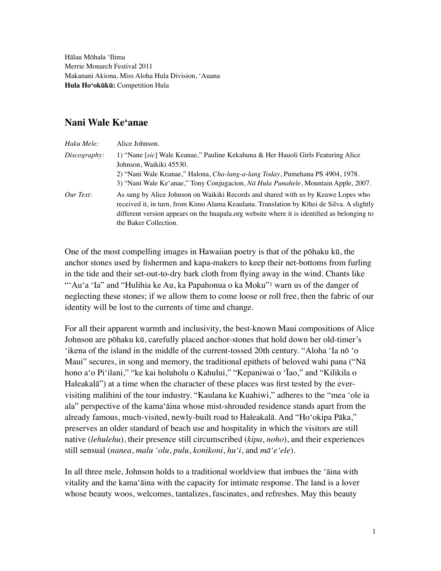Hālau Mōhala 'Ilima Merrie Monarch Festival 2011 Makanani Akiona, Miss Aloha Hula Division, 'Auana **Hula Ho'okūkū:** Competition Hula

## **Nani Wale Ke'anae**

| Haku Mele:   | Alice Johnson.                                                                                                                                                                                                                                                                                         |
|--------------|--------------------------------------------------------------------------------------------------------------------------------------------------------------------------------------------------------------------------------------------------------------------------------------------------------|
| Discography: | 1) "Nane [sic] Wale Keanae," Pauline Kekahuna & Her Hauoli Girls Featuring Alice<br>Johnson, Waikiki 45530.                                                                                                                                                                                            |
|              | 2) "Nani Wale Keanae," Halona, Cha-lang-a-lang Today, Pumehana PS 4904, 1978.<br>3) "Nani Wale Ke'anae," Tony Conjugacion, Na Hula Punahele, Mountain Apple, 2007.                                                                                                                                     |
| Our Text:    | As sung by Alice Johnson on Waikiki Records and shared with us by Keawe Lopes who<br>received it, in turn, from Kimo Alama Keaulana. Translation by Kīhei de Silva. A slightly<br>different version appears on the huapala.org website where it is identified as belonging to<br>the Baker Collection. |

<span id="page-0-0"></span>One of the most compelling images in Hawaiian poetry is that of the pōhaku kū, the anchor stones used by fishermen and kapa-makers to keep their net-bottoms from furling in the tide and their set-out-to-dry bark cloth from flying away in the wind. Chants like ["](#page-3-0)'Au'a 'Ia" and "Hulihia ke Au, ka Papahonua o ka Moku"<sup>[1](#page-3-0)</sup> warn us of the danger of neglecting these stones; if we allow them to come loose or roll free, then the fabric of our identity will be lost to the currents of time and change.

For all their apparent warmth and inclusivity, the best-known Maui compositions of Alice Johnson are pōhaku kū, carefully placed anchor-stones that hold down her old-timer's 'ikena of the island in the middle of the current-tossed 20th century. "Aloha 'Ia nō 'o Maui" secures, in song and memory, the traditional epithets of beloved wahi pana ("Nā hono a'o Pi'ilani," "ke kai holuholu o Kahului," "Kepaniwai o 'Īao," and "Kilikila o Haleakalā") at a time when the character of these places was first tested by the evervisiting malihini of the tour industry. "Kaulana ke Kuahiwi," adheres to the "mea 'ole ia ala" perspective of the kama'āina whose mist-shrouded residence stands apart from the already famous, much-visited, newly-built road to Haleakalā. And "Ho'okipa Pāka," preserves an older standard of beach use and hospitality in which the visitors are still native (*lehulehu*), their presence still circumscribed (*kipa*, *noho*), and their experiences still sensual (*nanea*, *malu 'olu*, *pulu*, *konikoni*, *hu'i*, and *mā'e'ele*).

In all three mele, Johnson holds to a traditional worldview that imbues the 'āina with vitality and the kama'āina with the capacity for intimate response. The land is a lover whose beauty woos, welcomes, tantalizes, fascinates, and refreshes. May this beauty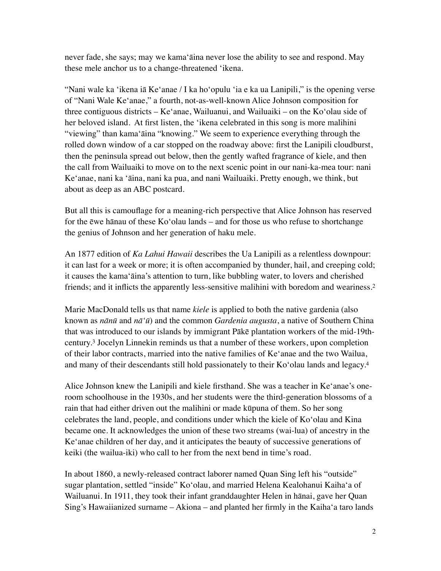never fade, she says; may we kama'āina never lose the ability to see and respond. May these mele anchor us to a change-threatened 'ikena.

"Nani wale ka 'ikena iā Ke'anae / I ka ho'opulu 'ia e ka ua Lanipili," is the opening verse of "Nani Wale Ke'anae," a fourth, not-as-well-known Alice Johnson composition for three contiguous districts – Ke'anae, Wailuanui, and Wailuaiki – on the Ko'olau side of her beloved island. At first listen, the 'ikena celebrated in this song is more malihini "viewing" than kama'āina "knowing." We seem to experience everything through the rolled down window of a car stopped on the roadway above: first the Lanipili cloudburst, then the peninsula spread out below, then the gently wafted fragrance of kiele, and then the call from Wailuaiki to move on to the next scenic point in our nani-ka-mea tour: nani Ke'anae, nani ka 'āina, nani ka pua, and nani Wailuaiki. Pretty enough, we think, but about as deep as an ABC postcard.

But all this is camouflage for a meaning-rich perspective that Alice Johnson has reserved for the ēwe hānau of these Ko'olau lands – and for those us who refuse to shortchange the genius of Johnson and her generation of haku mele.

An 1877 edition of *Ka Lahui Hawaii* describes the Ua Lanipili as a relentless downpour: it can last for a week or more; it is often accompanied by thunder, hail, and creeping cold; it causes the kama'āina's attention to turn, like bubbling water, to lovers and cherished friends; and it inflicts the apparently less-sensitive malihini with boredom and weariness[.](#page-3-1)<sup>[2](#page-3-1)</sup>

<span id="page-1-1"></span><span id="page-1-0"></span>Marie MacDonald tells us that name *kiele* is applied to both the native gardenia (also known as *nānū* and *nā'ū*) and the common *Gardenia augusta*, a native of Southern China that was introduced to our islands by immigrant Pākē plantation workers of the mid-19th-century[.](#page-3-2)<sup>[3](#page-3-2)</sup> Jocelyn Linnekin reminds us that a number of these workers, upon completion of their labor contracts, married into the native families of Ke'anae and the two Wailua, and many of their descendants still hold passionately to their Ko'olau lands and legacy[.4](#page-3-3)

<span id="page-1-2"></span>Alice Johnson knew the Lanipili and kiele firsthand. She was a teacher in Ke'anae's oneroom schoolhouse in the 1930s, and her students were the third-generation blossoms of a rain that had either driven out the malihini or made kūpuna of them. So her song celebrates the land, people, and conditions under which the kiele of Ko'olau and Kina became one. It acknowledges the union of these two streams (wai-lua) of ancestry in the Ke'anae children of her day, and it anticipates the beauty of successive generations of keiki (the wailua-iki) who call to her from the next bend in time's road.

In about 1860, a newly-released contract laborer named Quan Sing left his "outside" sugar plantation, settled "inside" Ko'olau, and married Helena Kealohanui Kaiha'a of Wailuanui. In 1911, they took their infant granddaughter Helen in hānai, gave her Quan Sing's Hawaiianized surname – Akiona – and planted her firmly in the Kaiha'a taro lands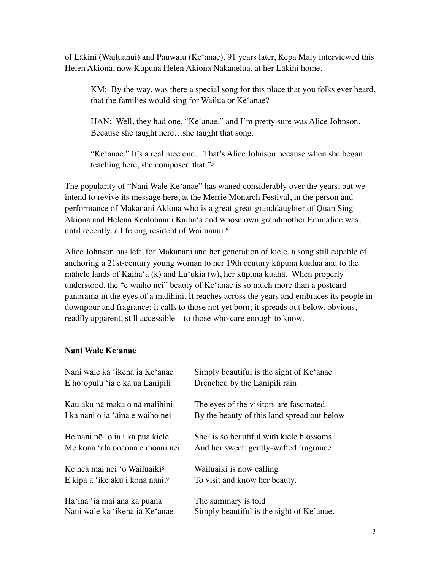of Lākini (Wailuanui) and Pauwalu (Ke'anae). 91 years later, Kepa Maly interviewed this Helen Akiona, now Kupuna Helen Akiona Nakanelua, at her Lākini home.

KM: By the way, was there a special song for this place that you folks ever heard, that the families would sing for Wailua or Ke'anae?

HAN: Well, they had one, "Ke'anae," and I'm pretty sure was Alice Johnson. Because she taught here…she taught that song.

<span id="page-2-1"></span><span id="page-2-0"></span>"Ke'anae." It's a real nice one…That's Alice Johnson because when she began teaching here, she composed that.["5](#page-3-4)

The popularity of "Nani Wale Ke'anae" has waned considerably over the years, but we intend to revive its message here, at the Merrie Monarch Festival, in the person and performance of Makanani Akiona who is a great-great-granddaughter of Quan Sing Akiona and Helena Kealohanui Kaiha'a and whose own grandmother Emmaline was, until recently, a lifelong resident of Wailuanui[.6](#page-3-5)

Alice Johnson has left, for Makanani and her generation of kiele, a song still capable of anchoring a 21st-century young woman to her 19th century kūpuna kualua and to the māhele lands of Kaiha'a (k) and Lu'ukia (w), her kūpuna kuahā. When properly understood, the "e waiho nei" beauty of Ke'anae is so much more than a postcard panorama in the eyes of a malihini. It reaches across the years and embraces its people in downpour and fragrance; it calls to those not yet born; it spreads out below, obvious, readily apparent, still accessible – to those who care enough to know.

## **Nani Wale Ke'anae**

<span id="page-2-4"></span><span id="page-2-3"></span><span id="page-2-2"></span>

| Nani wale ka 'ikena iā Ke'anae              | Simply beautiful is the sight of Ke'anae             |
|---------------------------------------------|------------------------------------------------------|
| E ho'opulu 'ia e ka ua Lanipili             | Drenched by the Lanipili rain                        |
| Kau aku nā maka o nā malihini               | The eyes of the visitors are fascinated              |
| I ka nani o ia 'āina e waiho nei            | By the beauty of this land spread out below          |
| He nani nō 'o ia i ka pua kiele             | She <sup>7</sup> is so beautiful with kiele blossoms |
| Me kona 'ala onaona e moani nei             | And her sweet, gently-wafted fragrance               |
| Ke hea mai nei 'o Wailuaiki <sup>8</sup>    | Wailuaiki is now calling                             |
| E kipa a 'ike aku i kona nani. <sup>9</sup> | To visit and know her beauty.                        |
| Ha'ina 'ia mai ana ka puana                 | The summary is told                                  |
| Nani wale ka 'ikena iā Ke'anae              | Simply beautiful is the sight of Ke'anae.            |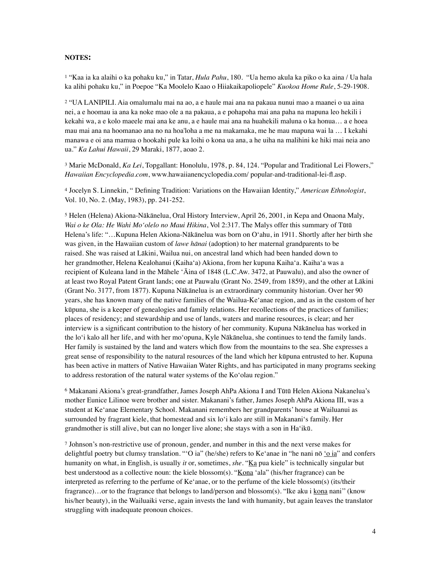## **NOTES:**

<span id="page-3-0"></span><sup>[1](#page-0-0)</sup> "Kaa ia ka alaihi o ka pohaku ku," in Tatar, *Hula Pahu*, 180. "Ua hemo akula ka piko o ka aina / Ua hala ka alihi pohaku ku," in Poepoe "Ka Moolelo Kaao o Hiiakaikapoliopele" *Kuokoa Home Rule*, 5-29-1908.

<span id="page-3-1"></span> "UA LANIPILI. Aia omalumalu mai na ao, a e haule mai ana na pakaua nunui mao a maanei o ua aina [2](#page-1-0) nei, a e hoomau ia ana ka noke mao ole a na pakaua, a e pohapoha mai ana paha na mapuna leo hekili i kekahi wa, a e kolo maeele mai ana ke anu, a e haule mai ana na huahekili maluna o ka honua… a e hoea mau mai ana na hoomanao ana no na hoa'loha a me na makamaka, me he mau mapuna wai la … I kekahi manawa e oi ana mamua o hookahi pule ka loihi o kona ua ana, a he uiha na malihini ke hiki mai neia ano ua." *Ka Lahui Hawaii*, 29 Maraki, 1877, aoao 2.

<span id="page-3-2"></span><sup>[3](#page-1-1)</sup> Marie McDonald, *Ka Lei*, Topgallant: Honolulu, 1978, p. 84, 124. "Popular and Traditional Lei Flowers," *Hawaiian Encyclopedia.com*, www.hawaiianencyclopedia.com/ popular-and-traditional-lei-fl.asp.

<span id="page-3-3"></span> Jocelyn S. Linnekin, " Defining Tradition: Variations on the Hawaiian Identity," *American Ethnologist*, [4](#page-1-2) Vol. 10, No. 2. (May, 1983), pp. 241-252.

<span id="page-3-4"></span><sup>[5](#page-2-0)</sup> Helen (Helena) Akiona-Nākānelua, Oral History Interview, April 26, 2001, in Kepa and Onaona Maly, *Wai o ke Ola: He Wahi Mo'olelo no Maui Hikina*, Vol 2:317. The Malys offer this summary of Tūtū Helena's life: "…Kupuna Helen Akiona-Nākānelua was born on O'ahu, in 1911. Shortly after her birth she was given, in the Hawaiian custom of *lawe hānai* (adoption) to her maternal grandparents to be raised. She was raised at Lākini, Wailua nui, on ancestral land which had been handed down to her grandmother, Helena Kealohanui (Kaiha'a) Akiona, from her kupuna Kaiha'a. Kaiha'a was a recipient of Kuleana land in the Māhele 'Āina of 1848 (L.C.Aw. 3472, at Pauwalu), and also the owner of at least two Royal Patent Grant lands; one at Pauwalu (Grant No. 2549, from 1859), and the other at Lākini (Grant No. 3177, from 1877). Kupuna Nākānelua is an extraordinary community historian. Over her 90 years, she has known many of the native families of the Wailua-Ke'anae region, and as in the custom of her kūpuna, she is a keeper of genealogies and family relations. Her recollections of the practices of families; places of residency; and stewardship and use of lands, waters and marine resources, is clear; and her interview is a significant contribution to the history of her community. Kupuna Nākānelua has worked in the lo'i kalo all her life, and with her mo'opuna, Kyle Nākānelua, she continues to tend the family lands. Her family is sustained by the land and waters which flow from the mountains to the sea. She expresses a great sense of responsibility to the natural resources of the land which her kūpuna entrusted to her. Kupuna has been active in matters of Native Hawaiian Water Rights, and has participated in many programs seeking to address restoration of the natural water systems of the Ko'olau region."

<span id="page-3-5"></span><sup>[6](#page-2-1)</sup> Makanani Akiona's great-grandfather, James Joseph AhPa Akiona I and Tūtū Helen Akiona Nakanelua's mother Eunice Lilinoe were brother and sister. Makanani's father, James Joseph AhPa Akiona III, was a student at Ke'anae Elementary School. Makanani remembers her grandparents' house at Wailuanui as surrounded by fragrant kiele, that homestead and six lo'i kalo are still in Makanani's family. Her grandmother is still alive, but can no longer live alone; she stays with a son in Ha'ikū.

<span id="page-3-6"></span> Johnson's non-restrictive use of pronoun, gender, and number in this and the next verse makes for [7](#page-2-2) delightful poetry but clumsy translation. "ʻO ia" (he/she) refers to Ke'anae in "he nani nō 'o ia" and confers humanity on what, in English, is usually *it* or, sometimes, *she*. "Ka pua kiele" is technically singular but best understood as a collective noun: the kiele blossom(s). "Kona 'ala" (his/her fragrance) can be interpreted as referring to the perfume of Ke'anae, or to the perfume of the kiele blossom(s) (its/their fragrance)…or to the fragrance that belongs to land/person and blossom(s). "Ike aku i kona nani" (know his/her beauty), in the Wailuaiki verse, again invests the land with humanity, but again leaves the translator struggling with inadequate pronoun choices.